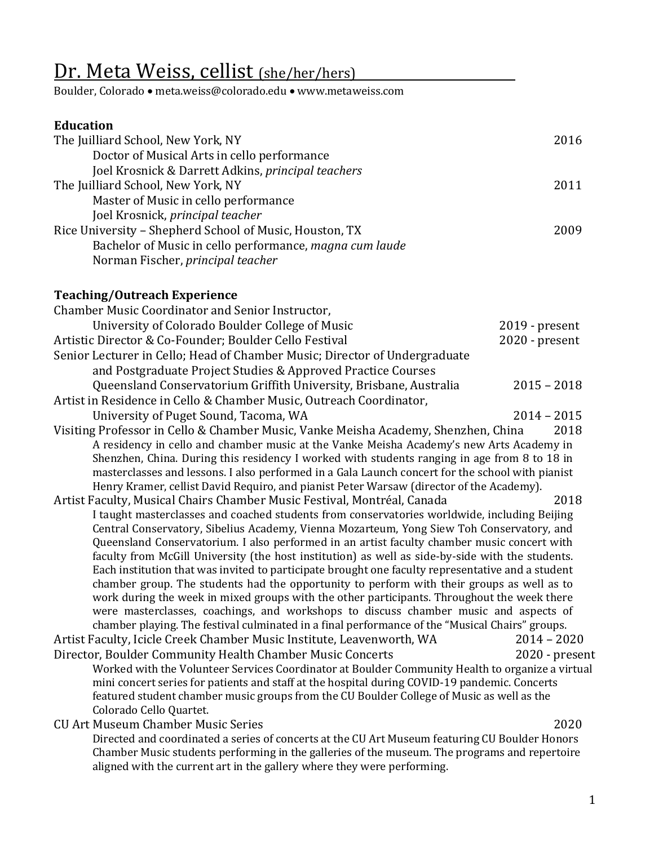# Dr. Meta Weiss, cellist (she/her/hers)

Boulder, Colorado • meta.weiss@colorado.edu • www.metaweiss.com

## **Education**

| The Juilliard School, New York, NY                      | 2016 |
|---------------------------------------------------------|------|
| Doctor of Musical Arts in cello performance             |      |
| Joel Krosnick & Darrett Adkins, principal teachers      |      |
| The Juilliard School, New York, NY                      | 2011 |
| Master of Music in cello performance                    |      |
| Joel Krosnick, principal teacher                        |      |
| Rice University - Shepherd School of Music, Houston, TX | 2009 |
| Bachelor of Music in cello performance, magna cum laude |      |
| Norman Fischer, principal teacher                       |      |

### **Teaching/Outreach Experience**

| Chamber Music Coordinator and Senior Instructor,                                                                                                                                                |                  |
|-------------------------------------------------------------------------------------------------------------------------------------------------------------------------------------------------|------------------|
| University of Colorado Boulder College of Music                                                                                                                                                 | $2019$ - present |
| Artistic Director & Co-Founder; Boulder Cello Festival                                                                                                                                          | 2020 - present   |
| Senior Lecturer in Cello; Head of Chamber Music; Director of Undergraduate                                                                                                                      |                  |
| and Postgraduate Project Studies & Approved Practice Courses                                                                                                                                    |                  |
| Queensland Conservatorium Griffith University, Brisbane, Australia                                                                                                                              | $2015 - 2018$    |
| Artist in Residence in Cello & Chamber Music, Outreach Coordinator,                                                                                                                             |                  |
| University of Puget Sound, Tacoma, WA                                                                                                                                                           | $2014 - 2015$    |
| Visiting Professor in Cello & Chamber Music, Vanke Meisha Academy, Shenzhen, China                                                                                                              | 2018             |
| A residency in cello and chamber music at the Vanke Meisha Academy's new Arts Academy in                                                                                                        |                  |
| Shenzhen, China. During this residency I worked with students ranging in age from 8 to 18 in                                                                                                    |                  |
| masterclasses and lessons. I also performed in a Gala Launch concert for the school with pianist                                                                                                |                  |
| Henry Kramer, cellist David Requiro, and pianist Peter Warsaw (director of the Academy).                                                                                                        |                  |
| Artist Faculty, Musical Chairs Chamber Music Festival, Montréal, Canada                                                                                                                         | 2018             |
| I taught masterclasses and coached students from conservatories worldwide, including Beijing                                                                                                    |                  |
| Central Conservatory, Sibelius Academy, Vienna Mozarteum, Yong Siew Toh Conservatory, and                                                                                                       |                  |
| Queensland Conservatorium. I also performed in an artist faculty chamber music concert with                                                                                                     |                  |
| faculty from McGill University (the host institution) as well as side-by-side with the students.                                                                                                |                  |
| Each institution that was invited to participate brought one faculty representative and a student<br>chamber group. The students had the opportunity to perform with their groups as well as to |                  |
| work during the week in mixed groups with the other participants. Throughout the week there                                                                                                     |                  |
| were masterclasses, coachings, and workshops to discuss chamber music and aspects of                                                                                                            |                  |
| chamber playing. The festival culminated in a final performance of the "Musical Chairs" groups.                                                                                                 |                  |
| Artist Faculty, Icicle Creek Chamber Music Institute, Leavenworth, WA                                                                                                                           | $2014 - 2020$    |
| Director, Boulder Community Health Chamber Music Concerts                                                                                                                                       | 2020 - present   |
| Worked with the Volunteer Services Coordinator at Boulder Community Health to organize a virtual                                                                                                |                  |
| mini concert series for patients and staff at the hospital during COVID-19 pandemic. Concerts                                                                                                   |                  |
| featured student chamber music groups from the CU Boulder College of Music as well as the                                                                                                       |                  |
| Colorado Cello Quartet.                                                                                                                                                                         |                  |
| <b>CU Art Museum Chamber Music Series</b>                                                                                                                                                       | 2020             |
| Directed and coordinated a series of concerts at the CU Art Museum featuring CU Boulder Honors                                                                                                  |                  |
| Chamber Music students performing in the galleries of the museum. The programs and repertoire                                                                                                   |                  |

aligned with the current art in the gallery where they were performing.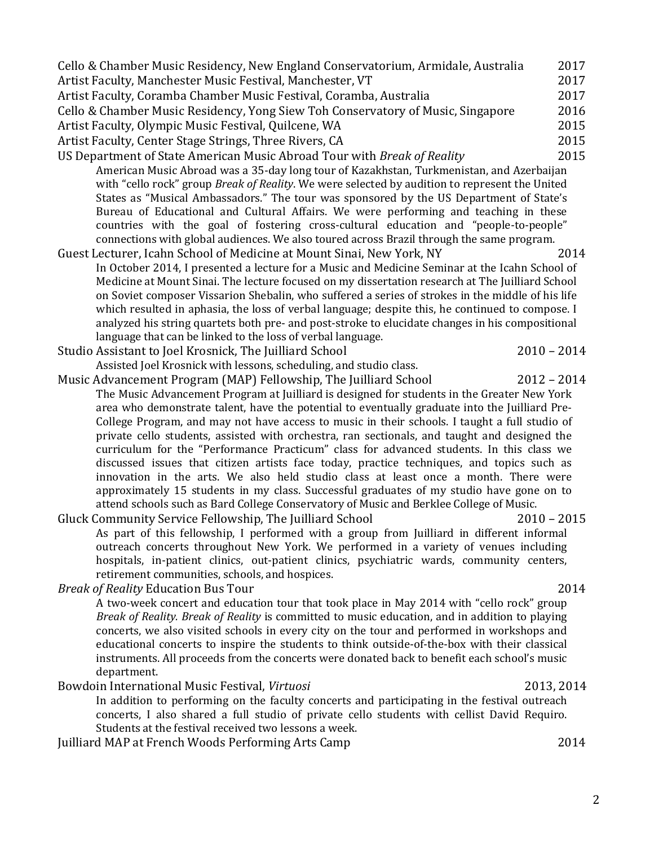2

Cello & Chamber Music Residency, New England Conservatorium, Armidale, Australia 2017 Artist Faculty, Manchester Music Festival, Manchester, VT 2017 Artist Faculty, Coramba Chamber Music Festival, Coramba, Australia 2017 Cello & Chamber Music Residency, Yong Siew Toh Conservatory of Music, Singapore 2016 Artist Faculty, Olympic Music Festival, Quilcene, WA 2015 Artist Faculty, Center Stage Strings, Three Rivers, CA 2015 US Department of State American Music Abroad Tour with *Break of Reality* 2015 American Music Abroad was a 35-day long tour of Kazakhstan, Turkmenistan, and Azerbaijan with "cello rock" group *Break of Reality*. We were selected by audition to represent the United States as "Musical Ambassadors." The tour was sponsored by the US Department of State's Bureau of Educational and Cultural Affairs. We were performing and teaching in these countries with the goal of fostering cross-cultural education and "people-to-people" connections with global audiences. We also toured across Brazil through the same program. Guest Lecturer, Icahn School of Medicine at Mount Sinai, New York, NY 2014 In October 2014, I presented a lecture for a Music and Medicine Seminar at the Icahn School of Medicine at Mount Sinai. The lecture focused on my dissertation research at The Juilliard School on Soviet composer Vissarion Shebalin, who suffered a series of strokes in the middle of his life which resulted in aphasia, the loss of verbal language; despite this, he continued to compose. I analyzed his string quartets both pre- and post-stroke to elucidate changes in his compositional language that can be linked to the loss of verbal language. Studio Assistant to Joel Krosnick, The Juilliard School 2010 – 2014 Assisted Joel Krosnick with lessons, scheduling, and studio class. Music Advancement Program (MAP) Fellowship, The Juilliard School 2012 – 2014 The Music Advancement Program at Juilliard is designed for students in the Greater New York area who demonstrate talent, have the potential to eventually graduate into the Juilliard Pre-College Program, and may not have access to music in their schools. I taught a full studio of private cello students, assisted with orchestra, ran sectionals, and taught and designed the curriculum for the "Performance Practicum" class for advanced students. In this class we discussed issues that citizen artists face today, practice techniques, and topics such as innovation in the arts. We also held studio class at least once a month. There were approximately 15 students in my class. Successful graduates of my studio have gone on to attend schools such as Bard College Conservatory of Music and Berklee College of Music. Gluck Community Service Fellowship, The Juilliard School 2010 – 2015 As part of this fellowship, I performed with a group from Juilliard in different informal outreach concerts throughout New York. We performed in a variety of venues including hospitals, in-patient clinics, out-patient clinics, psychiatric wards, community centers, retirement communities, schools, and hospices. *Break of Reality* **Education Bus Tour 2014** 2014 A two-week concert and education tour that took place in May 2014 with "cello rock" group *Break of Reality. Break of Reality* is committed to music education, and in addition to playing concerts, we also visited schools in every city on the tour and performed in workshops and educational concerts to inspire the students to think outside-of-the-box with their classical instruments. All proceeds from the concerts were donated back to benefit each school's music department. Bowdoin International Music Festival, *Virtuosi* **1988** 1998 10:43 10:44 In addition to performing on the faculty concerts and participating in the festival outreach concerts, I also shared a full studio of private cello students with cellist David Requiro. Students at the festival received two lessons a week. Juilliard MAP at French Woods Performing Arts Camp 2014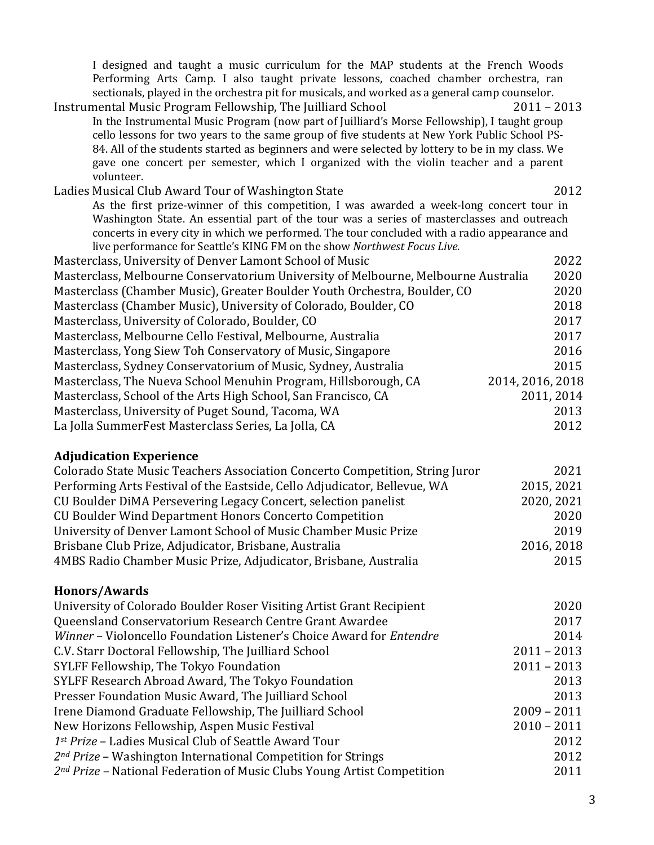| I designed and taught a music curriculum for the MAP students at the French Woods<br>Performing Arts Camp. I also taught private lessons, coached chamber orchestra, ran                     |                  |
|----------------------------------------------------------------------------------------------------------------------------------------------------------------------------------------------|------------------|
| sectionals, played in the orchestra pit for musicals, and worked as a general camp counselor.                                                                                                |                  |
| Instrumental Music Program Fellowship, The Juilliard School                                                                                                                                  | $2011 - 2013$    |
| In the Instrumental Music Program (now part of Juilliard's Morse Fellowship), I taught group<br>cello lessons for two years to the same group of five students at New York Public School PS- |                  |
| 84. All of the students started as beginners and were selected by lottery to be in my class. We                                                                                              |                  |
| gave one concert per semester, which I organized with the violin teacher and a parent<br>volunteer.                                                                                          |                  |
| Ladies Musical Club Award Tour of Washington State                                                                                                                                           | 2012             |
| As the first prize-winner of this competition, I was awarded a week-long concert tour in                                                                                                     |                  |
| Washington State. An essential part of the tour was a series of masterclasses and outreach                                                                                                   |                  |
| concerts in every city in which we performed. The tour concluded with a radio appearance and                                                                                                 |                  |
| live performance for Seattle's KING FM on the show Northwest Focus Live.                                                                                                                     |                  |
| Masterclass, University of Denver Lamont School of Music                                                                                                                                     | 2022             |
| Masterclass, Melbourne Conservatorium University of Melbourne, Melbourne Australia                                                                                                           | 2020             |
| Masterclass (Chamber Music), Greater Boulder Youth Orchestra, Boulder, CO                                                                                                                    | 2020             |
| Masterclass (Chamber Music), University of Colorado, Boulder, CO                                                                                                                             | 2018             |
| Masterclass, University of Colorado, Boulder, CO                                                                                                                                             | 2017             |
| Masterclass, Melbourne Cello Festival, Melbourne, Australia                                                                                                                                  | 2017             |
| Masterclass, Yong Siew Toh Conservatory of Music, Singapore                                                                                                                                  | 2016             |
| Masterclass, Sydney Conservatorium of Music, Sydney, Australia                                                                                                                               | 2015             |
| Masterclass, The Nueva School Menuhin Program, Hillsborough, CA                                                                                                                              | 2014, 2016, 2018 |
| Masterclass, School of the Arts High School, San Francisco, CA                                                                                                                               | 2011, 2014       |
| Masterclass, University of Puget Sound, Tacoma, WA                                                                                                                                           | 2013             |
| La Jolla SummerFest Masterclass Series, La Jolla, CA                                                                                                                                         | 2012             |
|                                                                                                                                                                                              |                  |

# **Adjudication Experience**

| Colorado State Music Teachers Association Concerto Competition, String Juror | 2021       |
|------------------------------------------------------------------------------|------------|
| Performing Arts Festival of the Eastside, Cello Adjudicator, Bellevue, WA    | 2015, 2021 |
| CU Boulder DiMA Persevering Legacy Concert, selection panelist               | 2020, 2021 |
| <b>CU Boulder Wind Department Honors Concerto Competition</b>                | 2020       |
| University of Denver Lamont School of Music Chamber Music Prize              | 2019       |
| Brisbane Club Prize, Adjudicator, Brisbane, Australia                        | 2016, 2018 |
| 4MBS Radio Chamber Music Prize, Adjudicator, Brisbane, Australia             | 2015       |

# **Honors/Awards**

| University of Colorado Boulder Roser Visiting Artist Grant Recipient         | 2020          |
|------------------------------------------------------------------------------|---------------|
| Queensland Conservatorium Research Centre Grant Awardee                      | 2017          |
| Winner - Violoncello Foundation Listener's Choice Award for Entendre         | 2014          |
| C.V. Starr Doctoral Fellowship, The Juilliard School                         | $2011 - 2013$ |
| SYLFF Fellowship, The Tokyo Foundation                                       | $2011 - 2013$ |
| SYLFF Research Abroad Award, The Tokyo Foundation                            | 2013          |
| Presser Foundation Music Award, The Juilliard School                         | 2013          |
| Irene Diamond Graduate Fellowship, The Juilliard School                      | $2009 - 2011$ |
| New Horizons Fellowship, Aspen Music Festival                                | $2010 - 2011$ |
| 1st Prize - Ladies Musical Club of Seattle Award Tour                        | 2012          |
| $2^{nd}$ Prize – Washington International Competition for Strings            | 2012          |
| $2^{nd}$ Prize – National Federation of Music Clubs Young Artist Competition | 2011          |
|                                                                              |               |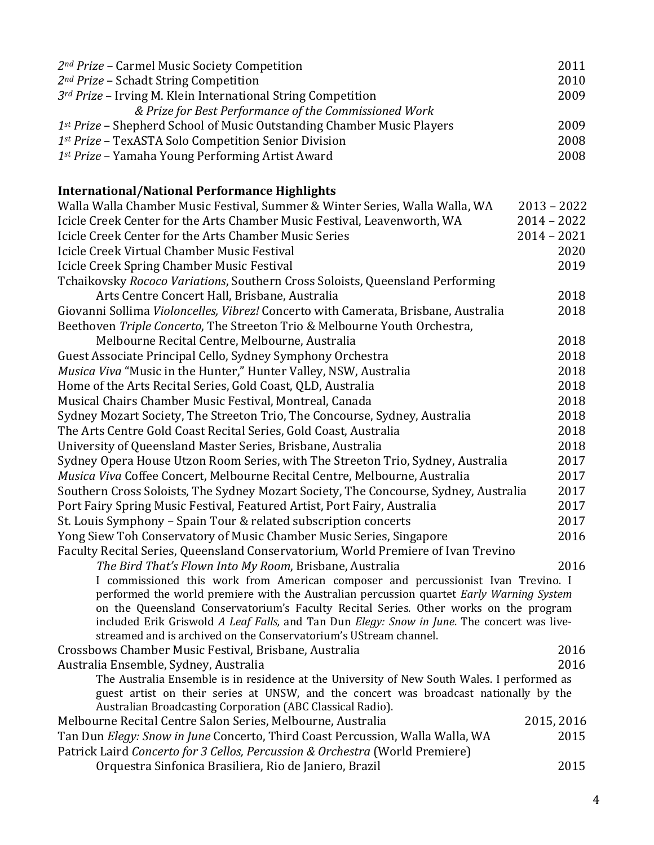| 2 <sup>nd</sup> Prize - Carmel Music Society Competition                                                                                                         | 2011          |
|------------------------------------------------------------------------------------------------------------------------------------------------------------------|---------------|
| 2 <sup>nd</sup> Prize - Schadt String Competition                                                                                                                | 2010          |
| 3rd Prize - Irving M. Klein International String Competition                                                                                                     | 2009          |
| & Prize for Best Performance of the Commissioned Work                                                                                                            |               |
| 1st Prize - Shepherd School of Music Outstanding Chamber Music Players                                                                                           | 2009          |
| 1st Prize - TexASTA Solo Competition Senior Division                                                                                                             | 2008          |
| 1st Prize - Yamaha Young Performing Artist Award                                                                                                                 | 2008          |
| <b>International/National Performance Highlights</b>                                                                                                             |               |
| Walla Walla Chamber Music Festival, Summer & Winter Series, Walla Walla, WA                                                                                      | $2013 - 2022$ |
| Icicle Creek Center for the Arts Chamber Music Festival, Leavenworth, WA                                                                                         | $2014 - 2022$ |
| Icicle Creek Center for the Arts Chamber Music Series                                                                                                            | $2014 - 2021$ |
| Icicle Creek Virtual Chamber Music Festival                                                                                                                      | 2020          |
| Icicle Creek Spring Chamber Music Festival                                                                                                                       | 2019          |
| Tchaikovsky Rococo Variations, Southern Cross Soloists, Queensland Performing                                                                                    |               |
| Arts Centre Concert Hall, Brisbane, Australia                                                                                                                    | 2018          |
| Giovanni Sollima Violoncelles, Vibrez! Concerto with Camerata, Brisbane, Australia                                                                               | 2018          |
| Beethoven Triple Concerto, The Streeton Trio & Melbourne Youth Orchestra,                                                                                        |               |
| Melbourne Recital Centre, Melbourne, Australia                                                                                                                   | 2018          |
| Guest Associate Principal Cello, Sydney Symphony Orchestra                                                                                                       | 2018          |
| Musica Viva "Music in the Hunter," Hunter Valley, NSW, Australia                                                                                                 | 2018          |
| Home of the Arts Recital Series, Gold Coast, QLD, Australia                                                                                                      | 2018          |
| Musical Chairs Chamber Music Festival, Montreal, Canada                                                                                                          | 2018          |
| Sydney Mozart Society, The Streeton Trio, The Concourse, Sydney, Australia                                                                                       | 2018          |
| The Arts Centre Gold Coast Recital Series, Gold Coast, Australia                                                                                                 | 2018          |
| University of Queensland Master Series, Brisbane, Australia                                                                                                      | 2018          |
| Sydney Opera House Utzon Room Series, with The Streeton Trio, Sydney, Australia                                                                                  | 2017          |
| Musica Viva Coffee Concert, Melbourne Recital Centre, Melbourne, Australia                                                                                       | 2017          |
| Southern Cross Soloists, The Sydney Mozart Society, The Concourse, Sydney, Australia                                                                             | 2017          |
| Port Fairy Spring Music Festival, Featured Artist, Port Fairy, Australia                                                                                         | 2017          |
| St. Louis Symphony - Spain Tour & related subscription concerts                                                                                                  | 2017          |
| Yong Siew Toh Conservatory of Music Chamber Music Series, Singapore                                                                                              | 2016          |
| Faculty Recital Series, Queensland Conservatorium, World Premiere of Ivan Trevino                                                                                |               |
| The Bird That's Flown Into My Room, Brisbane, Australia                                                                                                          | 2016          |
| I commissioned this work from American composer and percussionist Ivan Trevino. I                                                                                |               |
| performed the world premiere with the Australian percussion quartet Early Warning System                                                                         |               |
| on the Queensland Conservatorium's Faculty Recital Series. Other works on the program                                                                            |               |
| included Erik Griswold A Leaf Falls, and Tan Dun Elegy: Snow in June. The concert was live-<br>streamed and is archived on the Conservatorium's UStream channel. |               |
| Crossbows Chamber Music Festival, Brisbane, Australia                                                                                                            | 2016          |
| Australia Ensemble, Sydney, Australia                                                                                                                            | 2016          |
| The Australia Ensemble is in residence at the University of New South Wales. I performed as                                                                      |               |
| guest artist on their series at UNSW, and the concert was broadcast nationally by the                                                                            |               |
| Australian Broadcasting Corporation (ABC Classical Radio).                                                                                                       |               |
| Melbourne Recital Centre Salon Series, Melbourne, Australia                                                                                                      | 2015, 2016    |
| Tan Dun Elegy: Snow in June Concerto, Third Coast Percussion, Walla Walla, WA                                                                                    | 2015          |
| Patrick Laird Concerto for 3 Cellos, Percussion & Orchestra (World Premiere)                                                                                     |               |
| Orquestra Sinfonica Brasiliera, Rio de Janiero, Brazil                                                                                                           | 2015          |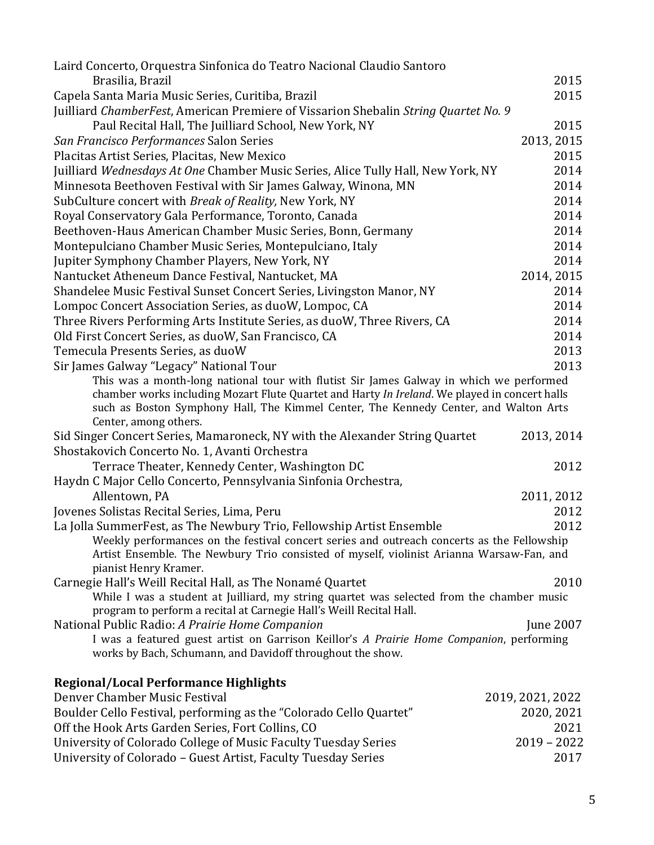| Laird Concerto, Orquestra Sinfonica do Teatro Nacional Claudio Santoro                                                                                                                                         |                  |
|----------------------------------------------------------------------------------------------------------------------------------------------------------------------------------------------------------------|------------------|
| Brasilia, Brazil                                                                                                                                                                                               | 2015             |
| Capela Santa Maria Music Series, Curitiba, Brazil                                                                                                                                                              | 2015             |
| Juilliard ChamberFest, American Premiere of Vissarion Shebalin String Quartet No. 9                                                                                                                            |                  |
| Paul Recital Hall, The Juilliard School, New York, NY                                                                                                                                                          | 2015             |
| San Francisco Performances Salon Series                                                                                                                                                                        | 2013, 2015       |
| Placitas Artist Series, Placitas, New Mexico                                                                                                                                                                   | 2015             |
| Juilliard Wednesdays At One Chamber Music Series, Alice Tully Hall, New York, NY                                                                                                                               | 2014             |
| Minnesota Beethoven Festival with Sir James Galway, Winona, MN                                                                                                                                                 | 2014             |
| SubCulture concert with Break of Reality, New York, NY                                                                                                                                                         | 2014             |
| Royal Conservatory Gala Performance, Toronto, Canada                                                                                                                                                           | 2014             |
| Beethoven-Haus American Chamber Music Series, Bonn, Germany                                                                                                                                                    | 2014             |
| Montepulciano Chamber Music Series, Montepulciano, Italy                                                                                                                                                       | 2014             |
| Jupiter Symphony Chamber Players, New York, NY                                                                                                                                                                 | 2014             |
| Nantucket Atheneum Dance Festival, Nantucket, MA                                                                                                                                                               | 2014, 2015       |
| Shandelee Music Festival Sunset Concert Series, Livingston Manor, NY                                                                                                                                           | 2014             |
| Lompoc Concert Association Series, as duoW, Lompoc, CA                                                                                                                                                         | 2014             |
| Three Rivers Performing Arts Institute Series, as duoW, Three Rivers, CA                                                                                                                                       | 2014             |
| Old First Concert Series, as duoW, San Francisco, CA                                                                                                                                                           | 2014             |
| Temecula Presents Series, as duoW                                                                                                                                                                              | 2013             |
| Sir James Galway "Legacy" National Tour                                                                                                                                                                        | 2013             |
| This was a month-long national tour with flutist Sir James Galway in which we performed                                                                                                                        |                  |
| chamber works including Mozart Flute Quartet and Harty In Ireland. We played in concert halls<br>such as Boston Symphony Hall, The Kimmel Center, The Kennedy Center, and Walton Arts<br>Center, among others. |                  |
| Sid Singer Concert Series, Mamaroneck, NY with the Alexander String Quartet                                                                                                                                    | 2013, 2014       |
| Shostakovich Concerto No. 1, Avanti Orchestra                                                                                                                                                                  |                  |
| Terrace Theater, Kennedy Center, Washington DC                                                                                                                                                                 | 2012             |
| Haydn C Major Cello Concerto, Pennsylvania Sinfonia Orchestra,                                                                                                                                                 |                  |
| Allentown, PA                                                                                                                                                                                                  | 2011, 2012       |
| Jovenes Solistas Recital Series, Lima, Peru                                                                                                                                                                    | 2012             |
| La Jolla SummerFest, as The Newbury Trio, Fellowship Artist Ensemble                                                                                                                                           | 2012             |
| Weekly performances on the festival concert series and outreach concerts as the Fellowship                                                                                                                     |                  |
| Artist Ensemble. The Newbury Trio consisted of myself, violinist Arianna Warsaw-Fan, and<br>pianist Henry Kramer.                                                                                              |                  |
| Carnegie Hall's Weill Recital Hall, as The Nonamé Quartet                                                                                                                                                      | 2010             |
| While I was a student at Juilliard, my string quartet was selected from the chamber music<br>program to perform a recital at Carnegie Hall's Weill Recital Hall.                                               |                  |
| National Public Radio: A Prairie Home Companion                                                                                                                                                                | June 2007        |
| I was a featured guest artist on Garrison Keillor's A Prairie Home Companion, performing<br>works by Bach, Schumann, and Davidoff throughout the show.                                                         |                  |
| <b>Regional/Local Performance Highlights</b>                                                                                                                                                                   |                  |
| Denver Chamber Music Festival                                                                                                                                                                                  | 2019, 2021, 2022 |
| Boulder Cello Festival, performing as the "Colorado Cello Quartet"                                                                                                                                             | 2020, 2021       |
| Off the Hook Arts Garden Series, Fort Collins, CO                                                                                                                                                              | 2021             |

University of Colorado College of Music Faculty Tuesday Series 2019 - 2019 - 2022 University of Colorado – Guest Artist, Faculty Tuesday Series 2017